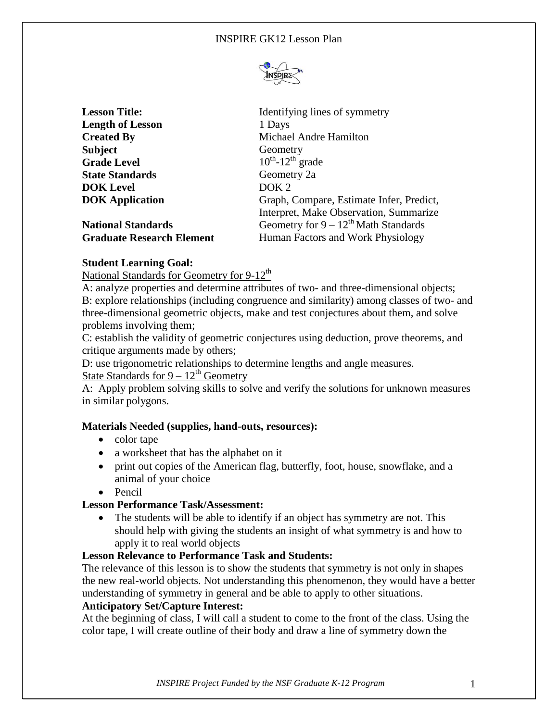

| <b>Lesson Title:</b>             | Identifying lines of symmetry             |
|----------------------------------|-------------------------------------------|
| <b>Length of Lesson</b>          | 1 Days                                    |
| <b>Created By</b>                | Michael Andre Hamilton                    |
| <b>Subject</b>                   | Geometry                                  |
| <b>Grade Level</b>               | $10^{th}$ -12 <sup>th</sup> grade         |
| <b>State Standards</b>           | Geometry 2a                               |
| <b>DOK</b> Level                 | DOK <sub>2</sub>                          |
| <b>DOK</b> Application           | Graph, Compare, Estimate Infer, Predict,  |
|                                  | Interpret, Make Observation, Summarize    |
| <b>National Standards</b>        | Geometry for $9 - 12^{th}$ Math Standards |
| <b>Graduate Research Element</b> | Human Factors and Work Physiology         |

# **Student Learning Goal:**

National Standards for Geometry for  $9-12<sup>th</sup>$ 

A: analyze properties and determine attributes of two- and three-dimensional objects; B: explore relationships (including congruence and similarity) among classes of two- and three-dimensional geometric objects, make and test conjectures about them, and solve problems involving them;

C: establish the validity of geometric conjectures using deduction, prove theorems, and critique arguments made by others;

D: use trigonometric relationships to determine lengths and angle measures.

# State Standards for  $9 - 12^{th}$  Geometry

A: Apply problem solving skills to solve and verify the solutions for unknown measures in similar polygons.

## **Materials Needed (supplies, hand-outs, resources):**

- color tape
- a worksheet that has the alphabet on it
- print out copies of the American flag, butterfly, foot, house, snowflake, and a animal of your choice
- Pencil

## **Lesson Performance Task/Assessment:**

• The students will be able to identify if an object has symmetry are not. This should help with giving the students an insight of what symmetry is and how to apply it to real world objects

# **Lesson Relevance to Performance Task and Students:**

The relevance of this lesson is to show the students that symmetry is not only in shapes the new real-world objects. Not understanding this phenomenon, they would have a better understanding of symmetry in general and be able to apply to other situations.

## **Anticipatory Set/Capture Interest:**

At the beginning of class, I will call a student to come to the front of the class. Using the color tape, I will create outline of their body and draw a line of symmetry down the